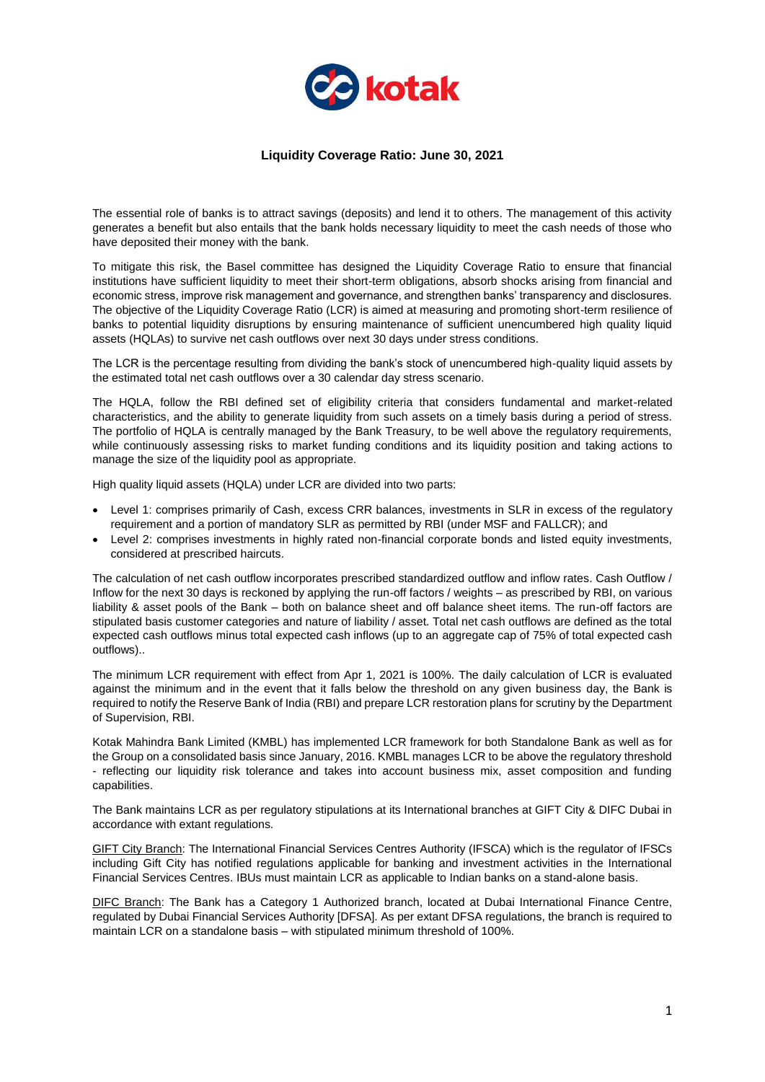

## **Liquidity Coverage Ratio: June 30, 2021**

The essential role of banks is to attract savings (deposits) and lend it to others. The management of this activity generates a benefit but also entails that the bank holds necessary liquidity to meet the cash needs of those who have deposited their money with the bank.

To mitigate this risk, the Basel committee has designed the Liquidity Coverage Ratio to ensure that financial institutions have sufficient liquidity to meet their short-term obligations, absorb shocks arising from financial and economic stress, improve risk management and governance, and strengthen banks' transparency and disclosures. The objective of the Liquidity Coverage Ratio (LCR) is aimed at measuring and promoting short-term resilience of banks to potential liquidity disruptions by ensuring maintenance of sufficient unencumbered high quality liquid assets (HQLAs) to survive net cash outflows over next 30 days under stress conditions.

The LCR is the percentage resulting from dividing the bank's stock of unencumbered high-quality liquid assets by the estimated total net cash outflows over a 30 calendar day stress scenario.

The HQLA, follow the RBI defined set of eligibility criteria that considers fundamental and market-related characteristics, and the ability to generate liquidity from such assets on a timely basis during a period of stress. The portfolio of HQLA is centrally managed by the Bank Treasury, to be well above the regulatory requirements, while continuously assessing risks to market funding conditions and its liquidity position and taking actions to manage the size of the liquidity pool as appropriate.

High quality liquid assets (HQLA) under LCR are divided into two parts:

- Level 1: comprises primarily of Cash, excess CRR balances, investments in SLR in excess of the regulatory requirement and a portion of mandatory SLR as permitted by RBI (under MSF and FALLCR); and
- Level 2: comprises investments in highly rated non-financial corporate bonds and listed equity investments, considered at prescribed haircuts.

The calculation of net cash outflow incorporates prescribed standardized outflow and inflow rates. Cash Outflow / Inflow for the next 30 days is reckoned by applying the run-off factors / weights – as prescribed by RBI, on various liability & asset pools of the Bank – both on balance sheet and off balance sheet items. The run-off factors are stipulated basis customer categories and nature of liability / asset. Total net cash outflows are defined as the total expected cash outflows minus total expected cash inflows (up to an aggregate cap of 75% of total expected cash outflows)..

The minimum LCR requirement with effect from Apr 1, 2021 is 100%. The daily calculation of LCR is evaluated against the minimum and in the event that it falls below the threshold on any given business day, the Bank is required to notify the Reserve Bank of India (RBI) and prepare LCR restoration plans for scrutiny by the Department of Supervision, RBI.

Kotak Mahindra Bank Limited (KMBL) has implemented LCR framework for both Standalone Bank as well as for the Group on a consolidated basis since January, 2016. KMBL manages LCR to be above the regulatory threshold - reflecting our liquidity risk tolerance and takes into account business mix, asset composition and funding capabilities.

The Bank maintains LCR as per regulatory stipulations at its International branches at GIFT City & DIFC Dubai in accordance with extant regulations.

GIFT City Branch: The International Financial Services Centres Authority (IFSCA) which is the regulator of IFSCs including Gift City has notified regulations applicable for banking and investment activities in the International Financial Services Centres. IBUs must maintain LCR as applicable to Indian banks on a stand-alone basis.

DIFC Branch: The Bank has a Category 1 Authorized branch, located at Dubai International Finance Centre, regulated by Dubai Financial Services Authority [DFSA]. As per extant DFSA regulations, the branch is required to maintain LCR on a standalone basis – with stipulated minimum threshold of 100%.